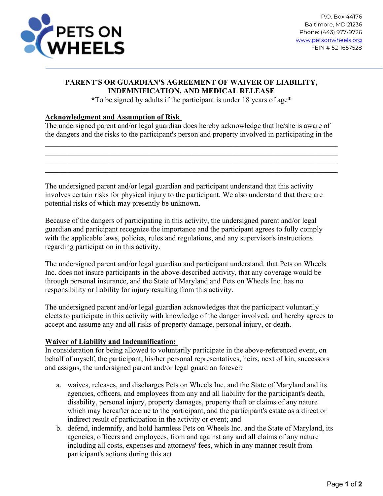

## **PARENT'S OR GUARDIAN'S AGREEMENT OF WAIVER OF LIABILITY, INDEMNIFICATION, AND MEDICAL RELEASE**

**\***To be signed by adults if the participant is under 18 years of age\*

## **Acknowledgment and Assumption of Risk**

The undersigned parent and/or legal guardian does hereby acknowledge that he/she is aware of the dangers and the risks to the participant's person and property involved in participating in the

\_\_\_\_\_\_\_\_\_\_\_\_\_\_\_\_\_\_\_\_\_\_\_\_\_\_\_\_\_\_\_\_\_\_\_\_\_\_\_\_\_\_\_\_\_\_\_\_\_\_\_\_\_\_\_\_\_\_\_\_\_\_\_\_\_\_\_\_\_\_\_\_\_\_\_\_\_\_

\_\_\_\_\_\_\_\_\_\_\_\_\_\_\_\_\_\_\_\_\_\_\_\_\_\_\_\_\_\_\_\_\_\_\_\_\_\_\_\_\_\_\_\_\_\_\_\_\_\_\_\_\_\_\_\_\_\_\_\_\_\_\_\_\_\_\_\_\_\_\_\_\_\_\_\_\_\_

The undersigned parent and/or legal guardian and participant understand that this activity involves certain risks for physical injury to the participant. We also understand that there are potential risks of which may presently be unknown.

Because of the dangers of participating in this activity, the undersigned parent and/or legal guardian and participant recognize the importance and the participant agrees to fully comply with the applicable laws, policies, rules and regulations, and any supervisor's instructions regarding participation in this activity.

The undersigned parent and/or legal guardian and participant understand. that Pets on Wheels Inc. does not insure participants in the above-described activity, that any coverage would be through personal insurance, and the State of Maryland and Pets on Wheels Inc. has no responsibility or liability for injury resulting from this activity.

The undersigned parent and/or legal guardian acknowledges that the participant voluntarily elects to participate in this activity with knowledge of the danger involved, and hereby agrees to accept and assume any and all risks of property damage, personal injury, or death.

## **Waiver of Liability and Indemnification:**

In consideration for being allowed to voluntarily participate in the above-referenced event, on behalf of myself, the participant, his/her personal representatives, heirs, next of kin, successors and assigns, the undersigned parent and/or legal guardian forever:

- a. waives, releases, and discharges Pets on Wheels Inc. and the State of Maryland and its agencies, officers, and employees from any and all liability for the participant's death, disability, personal injury, property damages, property theft or claims of any nature which may hereafter accrue to the participant, and the participant's estate as a direct or indirect result of participation in the activity or event; and
- b. defend, indemnify, and hold harmless Pets on Wheels Inc. and the State of Maryland, its agencies, officers and employees, from and against any and all claims of any nature including all costs, expenses and attorneys' fees, which in any manner result from participant's actions during this act